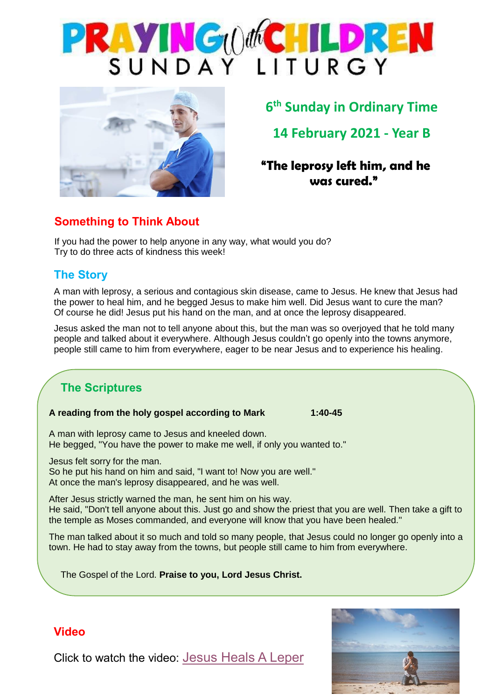



## **6 th Sunday in Ordinary Time**

**14 February 2021 - Year B**

**"The leprosy left him, and he was cured."**

### **Something to Think About**

If you had the power to help anyone in any way, what would you do? Try to do three acts of kindness this week!

### **The Story**

A man with leprosy, a serious and contagious skin disease, came to Jesus. He knew that Jesus had the power to heal him, and he begged Jesus to make him well. Did Jesus want to cure the man? Of course he did! Jesus put his hand on the man, and at once the leprosy disappeared.

Jesus asked the man not to tell anyone about this, but the man was so overjoyed that he told many people and talked about it everywhere. Although Jesus couldn't go openly into the towns anymore, people still came to him from everywhere, eager to be near Jesus and to experience his healing.

### **The Scriptures**

### **A reading from the holy gospel according to Mark 1:40-45**

A man with leprosy came to Jesus and kneeled down. He begged, "You have the power to make me well, if only you wanted to."

Jesus felt sorry for the man.

So he put his hand on him and said, "I want to! Now you are well." At once the man's leprosy disappeared, and he was well.

After Jesus strictly warned the man, he sent him on his way. He said, "Don't tell anyone about this. Just go and show the priest that you are well. Then take a gift to the temple as Moses commanded, and everyone will know that you have been healed."

The man talked about it so much and told so many people, that Jesus could no longer go openly into a town. He had to stay away from the towns, but people still came to him from everywhere.

The Gospel of the Lord. **Praise to you, Lord Jesus Christ.**



### **Video**

Click to watch the video: [Jesus Heals A](https://www.youtube.com/watch?v=OIorvwGAX04&feature=emb_logo) Leper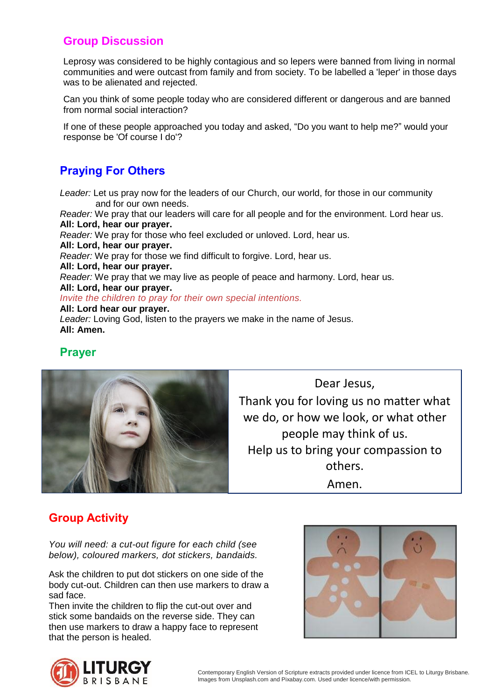### **Group Discussion**

Leprosy was considered to be highly contagious and so lepers were banned from living in normal communities and were outcast from family and from society. To be labelled a 'leper' in those days was to be alienated and rejected.

Can you think of some people today who are considered different or dangerous and are banned from normal social interaction?

If one of these people approached you today and asked, "Do you want to help me?" would your response be 'Of course I do'?

### **Praying For Others**

*Leader:* Let us pray now for the leaders of our Church, our world, for those in our community and for our own needs.

*Reader:* We pray that our leaders will care for all people and for the environment. Lord hear us. **All: Lord, hear our prayer.**

*Reader:* We pray for those who feel excluded or unloved. Lord, hear us. **All: Lord, hear our prayer.** *Reader:* We pray for those we find difficult to forgive. Lord, hear us. **All: Lord, hear our prayer.** *Reader:* We pray that we may live as people of peace and harmony. Lord, hear us. **All: Lord, hear our prayer.** *Invite the children to pray for their own special intentions.*

**All: Lord hear our prayer.** *Leader:* Loving God, listen to the prayers we make in the name of Jesus. **All: Amen.**

### **Prayer**



Dear Jesus, Thank you for loving us no matter what we do, or how we look, or what other people may think of us. Help us to bring your compassion to others. Amen.

### **Group Activity**

*You will need: a cut-out figure for each child (see below), coloured markers, dot stickers, bandaids.*

Ask the children to put dot stickers on one side of the body cut-out. Children can then use markers to draw a sad face.

Then invite the children to flip the cut-out over and stick some bandaids on the reverse side. They can then use markers to draw a happy face to represent that the person is healed.



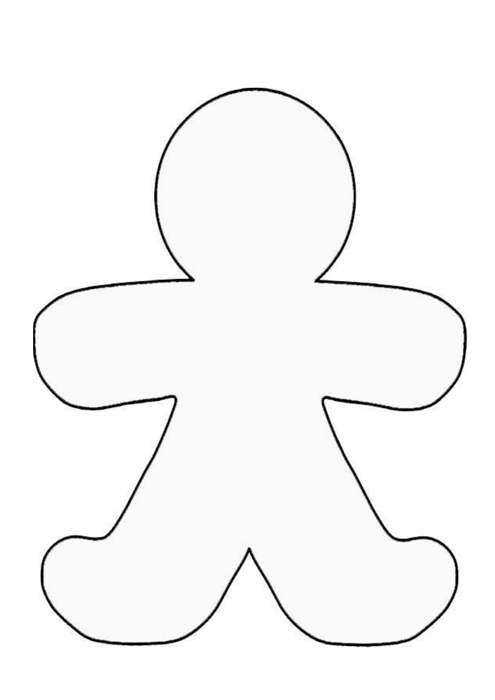